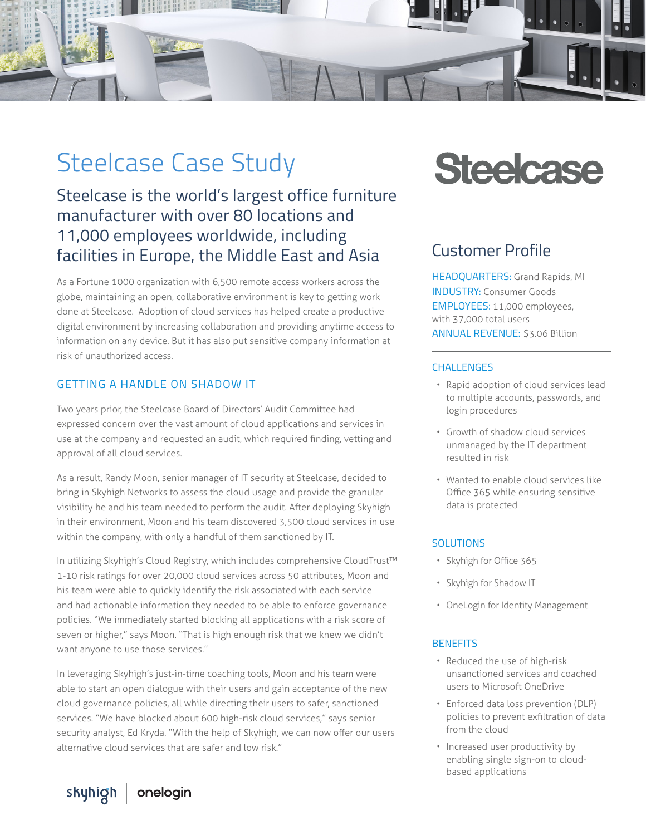

# Steelcase Case Study

Steelcase is the world's largest office furniture manufacturer with over 80 locations and 11,000 employees worldwide, including facilities in Europe, the Middle East and Asia

As a Fortune 1000 organization with 6,500 remote access workers across the globe, maintaining an open, collaborative environment is key to getting work done at Steelcase. Adoption of cloud services has helped create a productive digital environment by increasing collaboration and providing anytime access to information on any device. But it has also put sensitive company information at risk of unauthorized access.

#### GETTING A HANDLE ON SHADOW IT

Two years prior, the Steelcase Board of Directors' Audit Committee had expressed concern over the vast amount of cloud applications and services in use at the company and requested an audit, which required finding, vetting and approval of all cloud services.

As a result, Randy Moon, senior manager of IT security at Steelcase, decided to bring in Skyhigh Networks to assess the cloud usage and provide the granular visibility he and his team needed to perform the audit. After deploying Skyhigh in their environment, Moon and his team discovered 3,500 cloud services in use within the company, with only a handful of them sanctioned by IT.

In utilizing Skyhigh's Cloud Registry, which includes comprehensive CloudTrust™ 1-10 risk ratings for over 20,000 cloud services across 50 attributes, Moon and his team were able to quickly identify the risk associated with each service and had actionable information they needed to be able to enforce governance policies. "We immediately started blocking all applications with a risk score of seven or higher," says Moon. "That is high enough risk that we knew we didn't want anyone to use those services."

In leveraging Skyhigh's just-in-time coaching tools, Moon and his team were able to start an open dialogue with their users and gain acceptance of the new cloud governance policies, all while directing their users to safer, sanctioned services. "We have blocked about 600 high-risk cloud services," says senior security analyst, Ed Kryda. "With the help of Skyhigh, we can now offer our users alternative cloud services that are safer and low risk."

# **Steelcase**

# Customer Profile

HEADQUARTERS: Grand Rapids, MI INDUSTRY: Consumer Goods EMPLOYEES: 11,000 employees, with 37,000 total users ANNUAL REVENUE: \$3.06 Billion

#### **CHALLENGES**

- Rapid adoption of cloud services lead to multiple accounts, passwords, and login procedures
- Growth of shadow cloud services unmanaged by the IT department resulted in risk
- Wanted to enable cloud services like Office 365 while ensuring sensitive data is protected

#### SOLUTIONS

- Skyhigh for Office 365
- Skyhigh for Shadow IT
- OneLogin for Identity Management

#### **BENEFITS**

- Reduced the use of high-risk unsanctioned services and coached users to Microsoft OneDrive
- Enforced data loss prevention (DLP) policies to prevent exfiltration of data from the cloud
- Increased user productivity by enabling single sign-on to cloudbased applications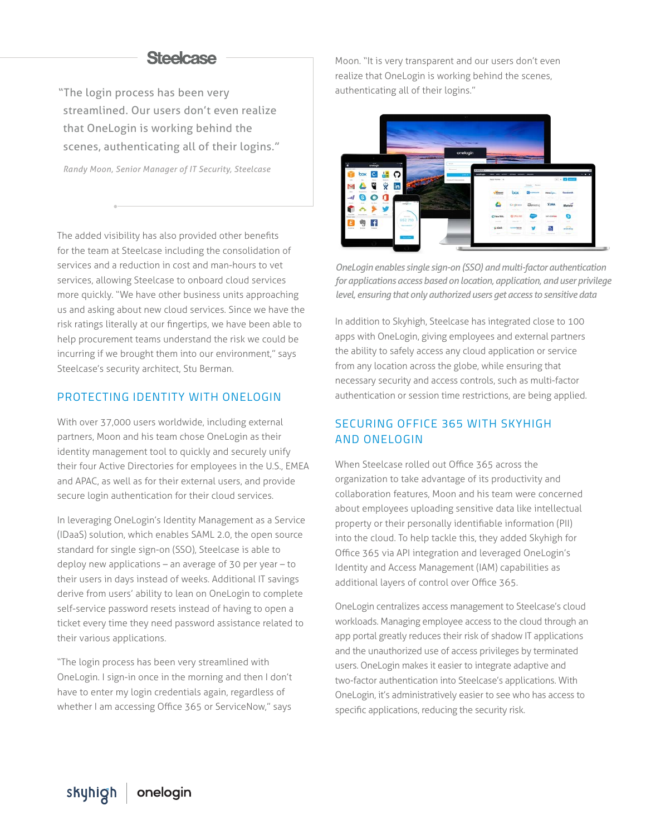### **Steelcase**

"The login process has been very streamlined. Our users don't even realize that OneLogin is working behind the scenes, authenticating all of their logins."

*Randy Moon, Senior Manager of IT Security, Steelcase*

The added visibility has also provided other benefits for the team at Steelcase including the consolidation of services and a reduction in cost and man-hours to vet services, allowing Steelcase to onboard cloud services more quickly. "We have other business units approaching us and asking about new cloud services. Since we have the risk ratings literally at our fingertips, we have been able to help procurement teams understand the risk we could be incurring if we brought them into our environment," says Steelcase's security architect, Stu Berman.

#### PROTECTING IDENTITY WITH ONELOGIN

With over 37,000 users worldwide, including external partners, Moon and his team chose OneLogin as their identity management tool to quickly and securely unify their four Active Directories for employees in the U.S., EMEA and APAC, as well as for their external users, and provide secure login authentication for their cloud services.

In leveraging OneLogin's Identity Management as a Service (IDaaS) solution, which enables SAML 2.0, the open source standard for single sign-on (SSO), Steelcase is able to deploy new applications – an average of 30 per year – to their users in days instead of weeks. Additional IT savings derive from users' ability to lean on OneLogin to complete self-service password resets instead of having to open a ticket every time they need password assistance related to their various applications.

"The login process has been very streamlined with OneLogin. I sign-in once in the morning and then I don't have to enter my login credentials again, regardless of whether I am accessing Office 365 or ServiceNow," says

Moon. "It is very transparent and our users don't even realize that OneLogin is working behind the scenes, authenticating all of their logins."



*OneLogin enables single sign-on (SSO) and multi-factor authentication for applications access based on location, application, and user privilege level, ensuring that only authorized users get access to sensitive data*

In addition to Skyhigh, Steelcase has integrated close to 100 apps with OneLogin, giving employees and external partners the ability to safely access any cloud application or service from any location across the globe, while ensuring that necessary security and access controls, such as multi-factor authentication or session time restrictions, are being applied.

#### SECURING OFFICE 365 WITH SKYHIGH AND ONELOGIN

When Steelcase rolled out Office 365 across the organization to take advantage of its productivity and collaboration features, Moon and his team were concerned about employees uploading sensitive data like intellectual property or their personally identifiable information (PII) into the cloud. To help tackle this, they added Skyhigh for Office 365 via API integration and leveraged OneLogin's Identity and Access Management (IAM) capabilities as additional layers of control over Office 365.

OneLogin centralizes access management to Steelcase's cloud workloads. Managing employee access to the cloud through an app portal greatly reduces their risk of shadow IT applications and the unauthorized use of access privileges by terminated users. OneLogin makes it easier to integrate adaptive and two-factor authentication into Steelcase's applications. With OneLogin, it's administratively easier to see who has access to specific applications, reducing the security risk.